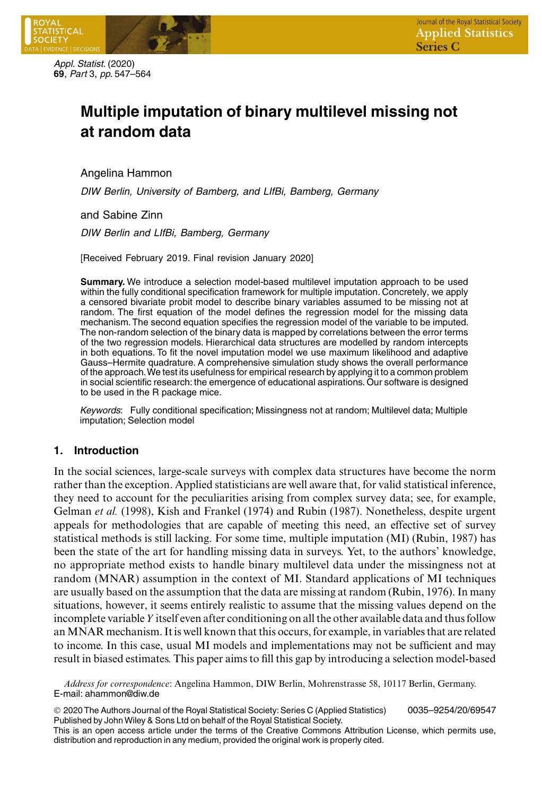**TATISTICAL** 

**LEVIDENCE LDECISION** 

**OCIETY** 

# **Multiple imputation of binary multilevel missing not at random data**

Angelina Hammon

*DIW Berlin, University of Bamberg, and LIfBi, Bamberg, Germany*

and Sabine Zinn

*DIW Berlin and LIfBi, Bamberg, Germany*

[Received February 2019. Final revision January 2020]

**Summary.** We introduce a selection model-based multilevel imputation approach to be used within the fully conditional specification framework for multiple imputation. Concretely, we apply a censored bivariate probit model to describe binary variables assumed to be missing not at random. The first equation of the model defines the regression model for the missing data mechanism. The second equation specifies the regression model of the variable to be imputed. The non-random selection of the binary data is mapped by correlations between the error terms of the two regression models. Hierarchical data structures are modelled by random intercepts in both equations. To fit the novel imputation model we use maximum likelihood and adaptive Gauss–Hermite quadrature. A comprehensive simulation study shows the overall performance of the approach.We test its usefulness for empirical research by applying it to a common problem in social scientific research: the emergence of educational aspirations. Our software is designed to be used in the R package mice.

*Keywords*: Fully conditional specification; Missingness not at random; Multilevel data; Multiple imputation; Selection model

#### **1. Introduction**

In the social sciences, large-scale surveys with complex data structures have become the norm rather than the exception. Applied statisticians are well aware that, for valid statistical inference, they need to account for the peculiarities arising from complex survey data; see, for example, Gelman *et al.* (1998), Kish and Frankel (1974) and Rubin (1987). Nonetheless, despite urgent appeals for methodologies that are capable of meeting this need, an effective set of survey statistical methods is still lacking. For some time, multiple imputation (MI) (Rubin, 1987) has been the state of the art for handling missing data in surveys. Yet, to the authors' knowledge, no appropriate method exists to handle binary multilevel data under the missingness not at random (MNAR) assumption in the context of MI. Standard applications of MI techniques are usually based on the assumption that the data are missing at random (Rubin, 1976). In many situations, however, it seems entirely realistic to assume that the missing values depend on the incomplete variable Y itself even after conditioning on all the other available data and thus follow anMNAR mechanism. It is well known that this occurs, for example, in variables that are related to income. In this case, usual MI models and implementations may not be sufficient and may result in biased estimates. This paper aims to fill this gap by introducing a selection model-based

*Address for correspondence*: Angelina Hammon, DIW Berlin, Mohrenstrasse 58, 10117 Berlin, Germany. E-mail: ahammon@diw.de

© 2020 The Authors Journal of the Royal Statistical Society: Series C (Applied Statistics) Published by John Wiley & Sons Ltd on behalf of the Royal Statistical Society. 0035–9254/20/69547

This is an open access article under the terms of the Creative Commons Attribution License, which permits use, distribution and reproduction in any medium, provided the original work is properly cited.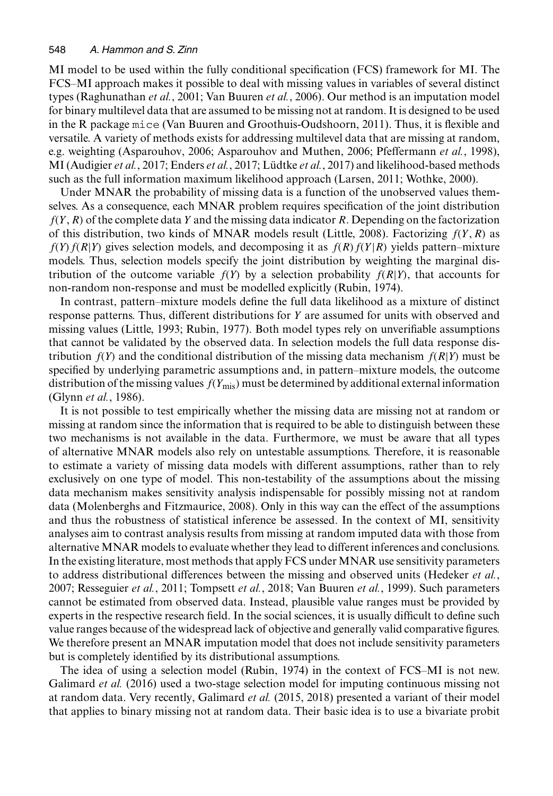MI model to be used within the fully conditional specification (FCS) framework for MI. The FCS–MI approach makes it possible to deal with missing values in variables of several distinct types (Raghunathan *et al.*, 2001; Van Buuren *et al.*, 2006). Our method is an imputation model for binary multilevel data that are assumed to be missing not at random. It is designed to be used in the R package mice (Van Buuren and Groothuis-Oudshoorn, 2011). Thus, it is flexible and versatile. A variety of methods exists for addressing multilevel data that are missing at random, e.g. weighting (Asparouhov, 2006; Asparouhov and Muthen, 2006; Pfeffermann *et al.*, 1998), MI (Audigier *et al.*, 2017; Enders *et al.*, 2017; Lüdtke *et al.*, 2017) and likelihood-based methods such as the full information maximum likelihood approach (Larsen, 2011; Wothke, 2000).

Under MNAR the probability of missing data is a function of the unobserved values themselves. As a consequence, each MNAR problem requires specification of the joint distribution  $f(Y, R)$  of the complete data Y and the missing data indicator R. Depending on the factorization of this distribution, two kinds of MNAR models result (Little, 2008). Factorizing  $f(Y, R)$  as  $f(Y) f(R|Y)$  gives selection models, and decomposing it as  $f(R) f(Y|R)$  yields pattern–mixture models. Thus, selection models specify the joint distribution by weighting the marginal distribution of the outcome variable  $f(Y)$  by a selection probability  $f(R|Y)$ , that accounts for non-random non-response and must be modelled explicitly (Rubin, 1974).

In contrast, pattern–mixture models define the full data likelihood as a mixture of distinct response patterns. Thus, different distributions for Y are assumed for units with observed and missing values (Little, 1993; Rubin, 1977). Both model types rely on unverifiable assumptions that cannot be validated by the observed data. In selection models the full data response distribution  $f(Y)$  and the conditional distribution of the missing data mechanism  $f(R|Y)$  must be specified by underlying parametric assumptions and, in pattern–mixture models, the outcome distribution of the missing values  $f(Y_{\text{mis}})$  must be determined by additional external information (Glynn *et al.*, 1986).

It is not possible to test empirically whether the missing data are missing not at random or missing at random since the information that is required to be able to distinguish between these two mechanisms is not available in the data. Furthermore, we must be aware that all types of alternative MNAR models also rely on untestable assumptions. Therefore, it is reasonable to estimate a variety of missing data models with different assumptions, rather than to rely exclusively on one type of model. This non-testability of the assumptions about the missing data mechanism makes sensitivity analysis indispensable for possibly missing not at random data (Molenberghs and Fitzmaurice, 2008). Only in this way can the effect of the assumptions and thus the robustness of statistical inference be assessed. In the context of MI, sensitivity analyses aim to contrast analysis results from missing at random imputed data with those from alternative MNAR models to evaluate whether they lead to different inferences and conclusions. In the existing literature, most methods that apply FCS under MNAR use sensitivity parameters to address distributional differences between the missing and observed units (Hedeker *et al.*, 2007; Resseguier *et al.*, 2011; Tompsett *et al.*, 2018; Van Buuren *et al.*, 1999). Such parameters cannot be estimated from observed data. Instead, plausible value ranges must be provided by experts in the respective research field. In the social sciences, it is usually difficult to define such value ranges because of the widespread lack of objective and generally valid comparative figures. We therefore present an MNAR imputation model that does not include sensitivity parameters but is completely identified by its distributional assumptions.

The idea of using a selection model (Rubin, 1974) in the context of FCS–MI is not new. Galimard *et al.* (2016) used a two-stage selection model for imputing continuous missing not at random data. Very recently, Galimard *et al.* (2015, 2018) presented a variant of their model that applies to binary missing not at random data. Their basic idea is to use a bivariate probit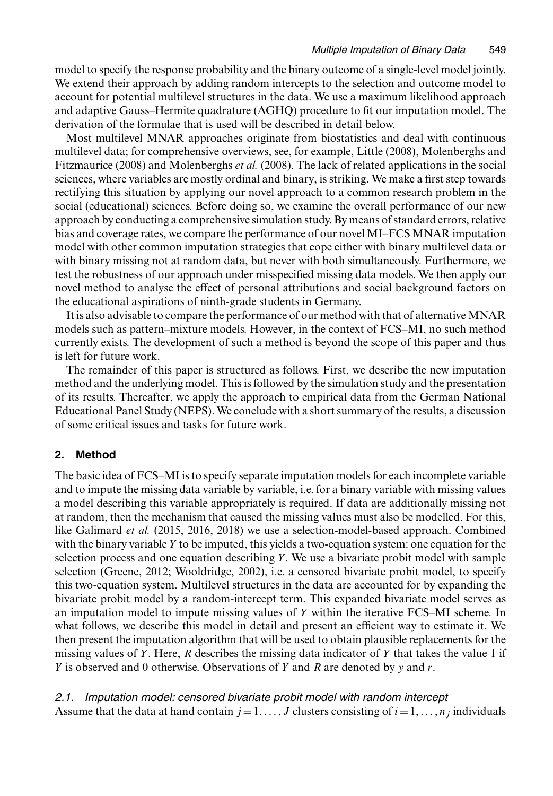model to specify the response probability and the binary outcome of a single-level model jointly. We extend their approach by adding random intercepts to the selection and outcome model to account for potential multilevel structures in the data. We use a maximum likelihood approach and adaptive Gauss–Hermite quadrature (AGHQ) procedure to fit our imputation model. The derivation of the formulae that is used will be described in detail below.

Most multilevel MNAR approaches originate from biostatistics and deal with continuous multilevel data; for comprehensive overviews, see, for example, Little (2008), Molenberghs and Fitzmaurice (2008) and Molenberghs *et al.* (2008). The lack of related applications in the social sciences, where variables are mostly ordinal and binary, is striking. We make a first step towards rectifying this situation by applying our novel approach to a common research problem in the social (educational) sciences. Before doing so, we examine the overall performance of our new approach by conducting a comprehensive simulation study. By means of standard errors, relative bias and coverage rates, we compare the performance of our novel MI–FCS MNAR imputation model with other common imputation strategies that cope either with binary multilevel data or with binary missing not at random data, but never with both simultaneously. Furthermore, we test the robustness of our approach under misspecified missing data models. We then apply our novel method to analyse the effect of personal attributions and social background factors on the educational aspirations of ninth-grade students in Germany.

It is also advisable to compare the performance of our method with that of alternative MNAR models such as pattern–mixture models. However, in the context of FCS–MI, no such method currently exists. The development of such a method is beyond the scope of this paper and thus is left for future work.

The remainder of this paper is structured as follows. First, we describe the new imputation method and the underlying model. This is followed by the simulation study and the presentation of its results. Thereafter, we apply the approach to empirical data from the German National Educational Panel Study (NEPS). We conclude with a short summary of the results, a discussion of some critical issues and tasks for future work.

# **2. Method**

The basic idea of FCS–MI is to specify separate imputation models for each incomplete variable and to impute the missing data variable by variable, i.e. for a binary variable with missing values a model describing this variable appropriately is required. If data are additionally missing not at random, then the mechanism that caused the missing values must also be modelled. For this, like Galimard *et al.* (2015, 2016, 2018) we use a selection-model-based approach. Combined with the binary variable  $Y$  to be imputed, this yields a two-equation system: one equation for the selection process and one equation describing Y. We use a bivariate probit model with sample selection (Greene, 2012; Wooldridge, 2002), i.e. a censored bivariate probit model, to specify this two-equation system. Multilevel structures in the data are accounted for by expanding the bivariate probit model by a random-intercept term. This expanded bivariate model serves as an imputation model to impute missing values of Y within the iterative FCS–MI scheme. In what follows, we describe this model in detail and present an efficient way to estimate it. We then present the imputation algorithm that will be used to obtain plausible replacements for the missing values of Y. Here,  *describes the missing data indicator of*  $*Y*$  *that takes the value 1 if* Y is observed and 0 otherwise. Observations of Y and R are denoted by y and r.

## *2.1. Imputation model: censored bivariate probit model with random intercept*

Assume that the data at hand contain  $j = 1, \ldots, J$  clusters consisting of  $i = 1, \ldots, n_j$  individuals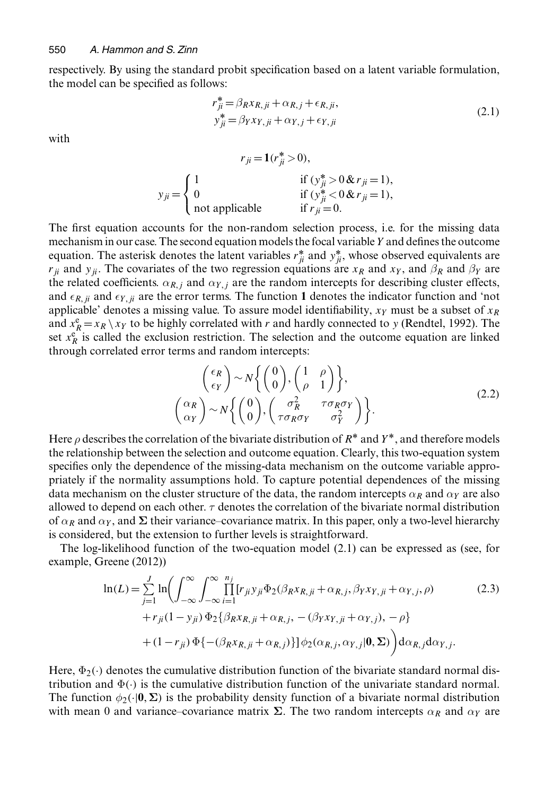respectively. By using the standard probit specification based on a latent variable formulation, the model can be specified as follows:

$$
r_{ji}^* = \beta_R x_{R,ji} + \alpha_{R,j} + \epsilon_{R,ji},
$$
  
\n
$$
y_{ji}^* = \beta_Y x_{Y,ji} + \alpha_{Y,j} + \epsilon_{Y,ji}
$$
\n(2.1)

with

$$
r_{ji} = \mathbf{1}(r_{ji}^* > 0),
$$
  
\n
$$
y_{ji} = \begin{cases} 1 & \text{if } (y_{ji}^* > 0 \& r_{ji} = 1), \\ 0 & \text{if } (y_{ji}^* < 0 \& r_{ji} = 1), \\ \text{not applicable} & \text{if } r_{ji} = 0. \end{cases}
$$

The first equation accounts for the non-random selection process, i.e. for the missing data mechanism in our case. The second equation models the focal variable Y and defines the outcome equation. The asterisk denotes the latent variables  $r_{ji}^*$  and  $y_{ji}^*$ , whose observed equivalents are  $r_{ij}$  and  $y_{ji}$ . The covariates of the two regression equations are  $x_R$  and  $x_Y$ , and  $\beta_R$  and  $\beta_Y$  are the related coefficients.  $\alpha_{R,i}$  and  $\alpha_{Y,i}$  are the random intercepts for describing cluster effects, and  $\epsilon_{R,ji}$  and  $\epsilon_{Y,ji}$  are the error terms. The function 1 denotes the indicator function and 'not applicable' denotes a missing value. To assure model identifiability,  $x<sub>Y</sub>$  must be a subset of  $x<sub>R</sub>$ and  $x_R^e = x_R \setminus x_Y$  to be highly correlated with r and hardly connected to y (Rendtel, 1992). The set  $x_R^e$  is called the exclusion restriction. The selection and the outcome equation are linked through correlated error terms and random intercepts:

$$
\begin{pmatrix} \epsilon_R \\ \epsilon_Y \end{pmatrix} \sim N \left\{ \begin{pmatrix} 0 \\ 0 \end{pmatrix}, \begin{pmatrix} 1 & \rho \\ \rho & 1 \end{pmatrix} \right\},\n\begin{pmatrix} \alpha_R \\ \alpha_Y \end{pmatrix} \sim N \left\{ \begin{pmatrix} 0 \\ 0 \end{pmatrix}, \begin{pmatrix} \sigma_R^2 & \tau \sigma_R \sigma_Y \\ \tau \sigma_R \sigma_Y & \sigma_Y^2 \end{pmatrix} \right\}.
$$
\n(2.2)

Here  $\rho$  describes the correlation of the bivariate distribution of  $R^*$  and  $Y^*$ , and therefore models the relationship between the selection and outcome equation. Clearly, this two-equation system specifies only the dependence of the missing-data mechanism on the outcome variable appropriately if the normality assumptions hold. To capture potential dependences of the missing data mechanism on the cluster structure of the data, the random intercepts  $\alpha_R$  and  $\alpha_Y$  are also allowed to depend on each other.  $\tau$  denotes the correlation of the bivariate normal distribution of  $\alpha_R$  and  $\alpha_Y$ , and  $\Sigma$  their variance–covariance matrix. In this paper, only a two-level hierarchy is considered, but the extension to further levels is straightforward.

The log-likelihood function of the two-equation model (2.1) can be expressed as (see, for example, Greene (2012))

$$
\ln(L) = \sum_{j=1}^{J} \ln\left(\int_{-\infty}^{\infty} \int_{-\infty}^{\infty} \prod_{i=1}^{n_j} [r_{ji}y_{ji} \Phi_2(\beta_R x_{R,ji} + \alpha_{R,j}, \beta_Y x_{Y,ji} + \alpha_{Y,j}, \rho) \right) \qquad (2.3)
$$
  
+  $r_{ji}(1 - y_{ji}) \Phi_2\{\beta_R x_{R,ji} + \alpha_{R,j}, -(\beta_Y x_{Y,ji} + \alpha_{Y,j}), -\rho\}$   
+  $(1 - r_{ji}) \Phi\{-(\beta_R x_{R,ji} + \alpha_{R,j})\} \phi_2(\alpha_{R,j}, \alpha_{Y,j} | \mathbf{0}, \Sigma) \right) d\alpha_{R,j} d\alpha_{Y,j}.$ 

Here,  $\Phi_2(\cdot)$  denotes the cumulative distribution function of the bivariate standard normal distribution and  $\Phi(\cdot)$  is the cumulative distribution function of the univariate standard normal. The function  $\phi_2(\cdot|\mathbf{0}, \Sigma)$  is the probability density function of a bivariate normal distribution with mean 0 and variance–covariance matrix  $\Sigma$ . The two random intercepts  $\alpha_R$  and  $\alpha_Y$  are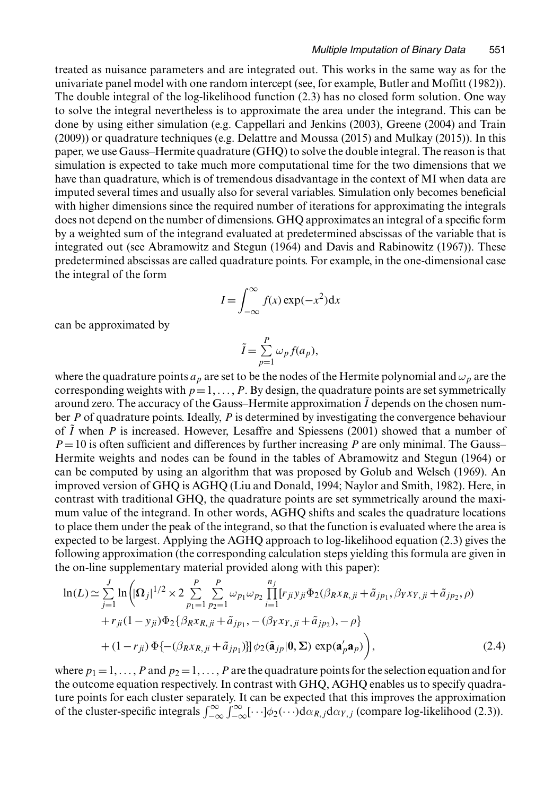treated as nuisance parameters and are integrated out. This works in the same way as for the univariate panel model with one random intercept (see, for example, Butler and Moffitt (1982)). The double integral of the log-likelihood function (2.3) has no closed form solution. One way to solve the integral nevertheless is to approximate the area under the integrand. This can be done by using either simulation (e.g. Cappellari and Jenkins (2003), Greene (2004) and Train (2009)) or quadrature techniques (e.g. Delattre and Moussa (2015) and Mulkay (2015)). In this paper, we use Gauss–Hermite quadrature (GHQ) to solve the double integral. The reason is that simulation is expected to take much more computational time for the two dimensions that we have than quadrature, which is of tremendous disadvantage in the context of MI when data are imputed several times and usually also for several variables. Simulation only becomes beneficial with higher dimensions since the required number of iterations for approximating the integrals does not depend on the number of dimensions. GHQ approximates an integral of a specific form by a weighted sum of the integrand evaluated at predetermined abscissas of the variable that is integrated out (see Abramowitz and Stegun (1964) and Davis and Rabinowitz (1967)). These predetermined abscissas are called quadrature points. For example, in the one-dimensional case the integral of the form

$$
I = \int_{-\infty}^{\infty} f(x) \exp(-x^2) dx
$$

can be approximated by

$$
\tilde{I} = \sum_{p=1}^{P} \omega_p f(a_p),
$$

where the quadrature points  $a_p$  are set to be the nodes of the Hermite polynomial and  $\omega_p$  are the corresponding weights with  $p=1, \ldots, P$ . By design, the quadrature points are set symmetrically around zero. The accuracy of the Gauss–Hermite approximation  $\tilde{I}$  depends on the chosen number P of quadrature points. Ideally, P is determined by investigating the convergence behaviour of I when P is increased. However, Lesaffre and Spiessens (2001) showed that a number of  $P = 10$  is often sufficient and differences by further increasing P are only minimal. The Gauss– Hermite weights and nodes can be found in the tables of Abramowitz and Stegun (1964) or can be computed by using an algorithm that was proposed by Golub and Welsch (1969). An improved version of GHQ is AGHQ (Liu and Donald, 1994; Naylor and Smith, 1982). Here, in contrast with traditional GHQ, the quadrature points are set symmetrically around the maximum value of the integrand. In other words, AGHQ shifts and scales the quadrature locations to place them under the peak of the integrand, so that the function is evaluated where the area is expected to be largest. Applying the AGHQ approach to log-likelihood equation (2.3) gives the following approximation (the corresponding calculation steps yielding this formula are given in the on-line supplementary material provided along with this paper):

$$
\ln(L) \simeq \sum_{j=1}^{J} \ln \left( |\Omega_j|^{1/2} \times 2 \sum_{p_1=1}^{P} \sum_{p_2=1}^{P} \omega_{p_1} \omega_{p_2} \prod_{i=1}^{n_j} [r_{ji} y_{ji} \Phi_2(\beta_R x_{R,ji} + \tilde{a}_{jp_1}, \beta_Y x_{Y,ji} + \tilde{a}_{jp_2}, \rho) + r_{ji} (1 - y_{ji}) \Phi_2{\beta_R x_{R,ji} + \tilde{a}_{jp_1}, -(\beta_Y x_{Y,ji} + \tilde{a}_{jp_2}), -\rho} + (1 - r_{ji}) \Phi\{-(\beta_R x_{R,ji} + \tilde{a}_{jp_1})\} \phi_2(\tilde{\mathbf{a}}_{jp} | \mathbf{0}, \Sigma) \exp(\mathbf{a}_p' \mathbf{a}_p)\right),
$$
(2.4)

where  $p_1 = 1, \ldots, P$  and  $p_2 = 1, \ldots, P$  are the quadrature points for the selection equation and for the outcome equation respectively. In contrast with GHQ, AGHQ enables us to specify quadrature points for each cluster separately. It can be expected that this improves the approximation of the cluster-specific integrals  $\int_{-\infty}^{\infty} \int_{-\infty}^{\infty} [\cdots] \phi_2(\cdots) d\alpha_{R,j} d\alpha_{Y,j}$  (compare log-likelihood (2.3)).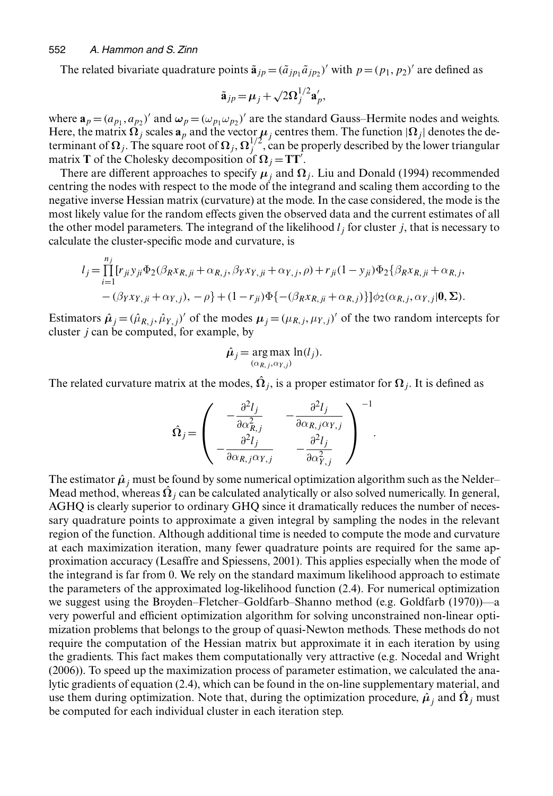The related bivariate quadrature points  $\tilde{\mathbf{a}}_{jp} = (\tilde{a}_{jp_1} \tilde{a}_{jp_2})'$  with  $p = (p_1, p_2)'$  are defined as

$$
\tilde{\mathbf{a}}_{jp} = \boldsymbol{\mu}_j + \sqrt{2\boldsymbol{\Omega}_j^{1/2}} \mathbf{a}_p',
$$

where  $\mathbf{a}_p = (a_{p_1}, a_{p_2})'$  and  $\omega_p = (\omega_{p_1} \omega_{p_2})'$  are the standard Gauss–Hermite nodes and weights. Here, the matrix  $\Omega_j$  scales  $\mathbf{a}_p$  and the vector  $\mu_j$  centres them. The function  $|\Omega_j|$  denotes the determinant of  $\Omega_j$ . The square root of  $\Omega_j$ ,  $\Omega_j^{1/2}$ , can be properly described by the lower triangular matrix **T** of the Cholesky decomposition of  $\Omega_j = TT'$ .

There are different approaches to specify  $\mu_i$  and  $\Omega_j$ . Liu and Donald (1994) recommended centring the nodes with respect to the mode of the integrand and scaling them according to the negative inverse Hessian matrix (curvature) at the mode. In the case considered, the mode is the most likely value for the random effects given the observed data and the current estimates of all the other model parameters. The integrand of the likelihood  $l_i$  for cluster j, that is necessary to calculate the cluster-specific mode and curvature, is

$$
l_j = \prod_{i=1}^{n_j} [r_{ji}y_{ji} \Phi_2(\beta_R x_{R,ji} + \alpha_{R,j}, \beta_Y x_{Y,ji} + \alpha_{Y,j}, \rho) + r_{ji}(1 - y_{ji}) \Phi_2\{\beta_R x_{R,ji} + \alpha_{R,j},
$$
  

$$
-(\beta_Y x_{Y,ji} + \alpha_{Y,j}), -\rho\} + (1 - r_{ji}) \Phi\{-(\beta_R x_{R,ji} + \alpha_{R,j})\}\phi_2(\alpha_{R,j}, \alpha_{Y,j}|\mathbf{0}, \Sigma).
$$

Estimators  $\hat{\mu}_j = (\hat{\mu}_{R,j}, \hat{\mu}_{Y,j})'$  of the modes  $\mu_j = (\mu_{R,j}, \mu_{Y,j})'$  of the two random intercepts for cluster j can be computed, for example, by

$$
\hat{\boldsymbol{\mu}}_j = \underset{(\alpha_{R,j}, \alpha_{Y,j})}{\arg \max} \ln(l_j).
$$

The related curvature matrix at the modes,  $\hat{\Omega}_i$ , is a proper estimator for  $\Omega_i$ . It is defined as

$$
\hat{\mathbf{\Omega}}_{j} = \begin{pmatrix} -\frac{\partial^2 l_j}{\partial \alpha_{R,j}^2} & -\frac{\partial^2 l_j}{\partial \alpha_{R,j} \alpha_{Y,j}} \\ -\frac{\partial^2 l_j}{\partial \alpha_{R,j} \alpha_{Y,j}} & -\frac{\partial^2 l_j}{\partial \alpha_{Y,j}^2} \end{pmatrix}^{-1}
$$

:

The estimator  $\hat{\mu}_i$  must be found by some numerical optimization algorithm such as the Nelder– Mead method, whereas  $\hat{\Omega}_i$  can be calculated analytically or also solved numerically. In general, AGHQ is clearly superior to ordinary GHQ since it dramatically reduces the number of necessary quadrature points to approximate a given integral by sampling the nodes in the relevant region of the function. Although additional time is needed to compute the mode and curvature at each maximization iteration, many fewer quadrature points are required for the same approximation accuracy (Lesaffre and Spiessens, 2001). This applies especially when the mode of the integrand is far from 0. We rely on the standard maximum likelihood approach to estimate the parameters of the approximated log-likelihood function (2.4). For numerical optimization we suggest using the Broyden–Fletcher–Goldfarb–Shanno method (e.g. Goldfarb (1970))—a very powerful and efficient optimization algorithm for solving unconstrained non-linear optimization problems that belongs to the group of quasi-Newton methods. These methods do not require the computation of the Hessian matrix but approximate it in each iteration by using the gradients. This fact makes them computationally very attractive (e.g. Nocedal and Wright (2006)). To speed up the maximization process of parameter estimation, we calculated the analytic gradients of equation (2.4), which can be found in the on-line supplementary material, and use them during optimization. Note that, during the optimization procedure,  $\hat{\mu}_i$  and  $\hat{\Omega}_i$  must be computed for each individual cluster in each iteration step.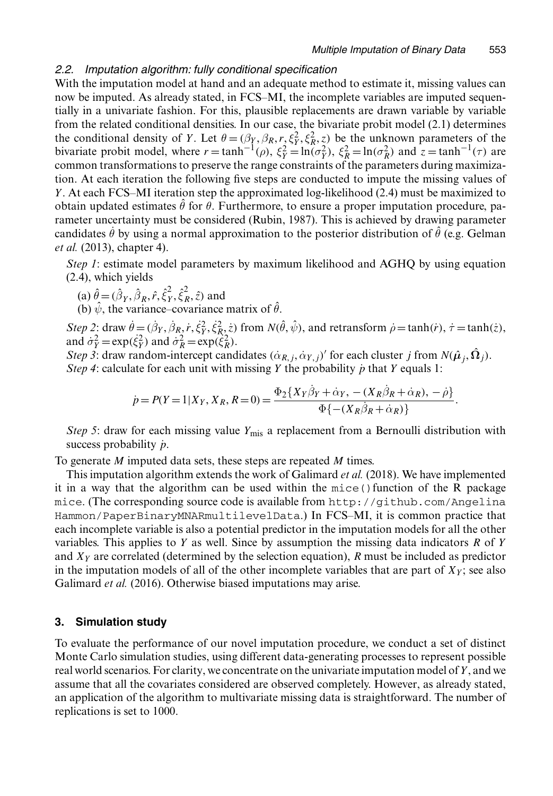#### *2.2. Imputation algorithm: fully conditional specification*

With the imputation model at hand and an adequate method to estimate it, missing values can now be imputed. As already stated, in FCS–MI, the incomplete variables are imputed sequentially in a univariate fashion. For this, plausible replacements are drawn variable by variable from the related conditional densities. In our case, the bivariate probit model (2.1) determines the conditional density of Y. Let  $\theta = (\beta_Y, \beta_R, r, \xi_Y^2, \xi_R^2, z)$  be the unknown parameters of the bivariate probit model, where  $r = \tanh^{-1}(\rho)$ ,  $\xi_Y^2 = \ln(\sigma_Y^2)$ ,  $\xi_R^2 = \ln(\sigma_R^2)$  and  $z = \tanh^{-1}(\tau)$  are common transformations to preserve the range constraints of the parameters during maximization. At each iteration the following five steps are conducted to impute the missing values of Y. At each FCS–MI iteration step the approximated log-likelihood (2.4) must be maximized to obtain updated estimates  $\hat{\theta}$  for  $\theta$ . Furthermore, to ensure a proper imputation procedure, parameter uncertainty must be considered (Rubin, 1987). This is achieved by drawing parameter candidates  $\theta$  by using a normal approximation to the posterior distribution of  $\theta$  (e.g. Gelman *et al.* (2013), chapter 4).

*Step 1*: estimate model parameters by maximum likelihood and AGHQ by using equation (2.4), which yields

(a) 
$$
\hat{\theta} = (\hat{\beta}_Y, \hat{\beta}_R, \hat{r}, \hat{\xi}_Y^2, \hat{\xi}_R^2, \hat{z})
$$
 and

(b)  $\hat{\psi}$ , the variance–covariance matrix of  $\hat{\theta}$ .

*Step 2*: draw  $\dot{\theta} = (\dot{\beta}_Y, \dot{\beta}_R, \dot{r}, \dot{\xi}_Y^2, \dot{\xi}_R^2, \dot{z})$  from  $N(\hat{\theta}, \hat{\psi})$ , and retransform  $\dot{\rho} = \tanh(\dot{r})$ ,  $\dot{\tau} = \tanh(\dot{z})$ , and  $\dot{\sigma}_Y^2 = \exp(\xi_Y^2)$  and  $\dot{\sigma}_R^2 = \exp(\xi_R^2)$ .

*Step 3*: draw random-intercept candidates  $(\alpha_{R,i}, \alpha_{Y,i})'$  for each cluster j from  $N(\hat{\mu}_i, \hat{\Omega}_i)$ . *Step 4*: calculate for each unit with missing Y the probability  $\dot{p}$  that Y equals 1:

$$
\dot{p} = P(Y=1|X_Y, X_R, R=0) = \frac{\Phi_2\{X_Y\beta_Y + \dot{\alpha}_Y, -(X_R\dot{\beta}_R + \dot{\alpha}_R), -\dot{\rho}\}}{\Phi\{-(X_R\dot{\beta}_R + \dot{\alpha}_R)\}}.
$$

*Step 5*: draw for each missing value  $Y_{\text{mis}}$  a replacement from a Bernoulli distribution with success probability  $\dot{p}$ .

To generate M imputed data sets, these steps are repeated M times.

This imputation algorithm extends the work of Galimard *et al.* (2018). We have implemented it in a way that the algorithm can be used within the  $mice($  function of the R package mice. (The corresponding source code is available from http://github.com/Angelina Hammon/PaperBinaryMNARmultilevelData.) In FCS–MI, it is common practice that each incomplete variable is also a potential predictor in the imputation models for all the other variables. This applies to Y as well. Since by assumption the missing data indicators R of Y and  $X<sub>Y</sub>$  are correlated (determined by the selection equation), R must be included as predictor in the imputation models of all of the other incomplete variables that are part of  $X<sub>Y</sub>$ ; see also Galimard *et al.* (2016). Otherwise biased imputations may arise.

## **3. Simulation study**

To evaluate the performance of our novel imputation procedure, we conduct a set of distinct Monte Carlo simulation studies, using different data-generating processes to represent possible real world scenarios. For clarity, we concentrate on the univariate imputation model of  $Y$ , and we assume that all the covariates considered are observed completely. However, as already stated, an application of the algorithm to multivariate missing data is straightforward. The number of replications is set to 1000.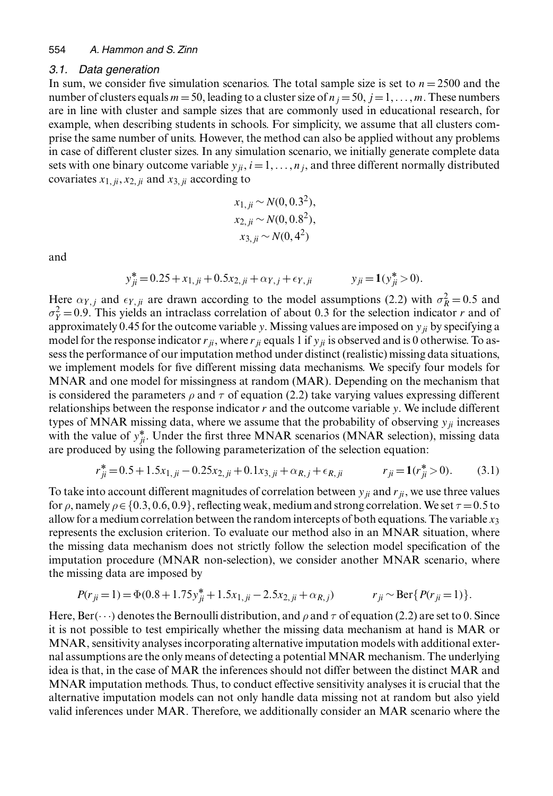#### *3.1. Data generation*

In sum, we consider five simulation scenarios. The total sample size is set to  $n=2500$  and the number of clusters equals  $m=50$ , leading to a cluster size of  $n_j = 50$ ,  $j = 1, \ldots, m$ . These numbers are in line with cluster and sample sizes that are commonly used in educational research, for example, when describing students in schools. For simplicity, we assume that all clusters comprise the same number of units. However, the method can also be applied without any problems in case of different cluster sizes. In any simulation scenario, we initially generate complete data sets with one binary outcome variable  $y_{ii}$ ,  $i=1,\ldots,n_j$ , and three different normally distributed covariates  $x_{1,ji}, x_{2,ji}$  and  $x_{3,ji}$  according to

$$
x_{1,ji} \sim N(0, 0.3^2),
$$
  
\n
$$
x_{2,ji} \sim N(0, 0.8^2),
$$
  
\n
$$
x_{3,ji} \sim N(0, 4^2)
$$

and

$$
y_{ji}^* = 0.25 + x_{1,ji} + 0.5x_{2,ji} + \alpha_{Y,j} + \epsilon_{Y,ji} \qquad y_{ji} = 1(y_{ji}^* > 0).
$$

Here  $\alpha_{Y,j}$  and  $\epsilon_{Y,ji}$  are drawn according to the model assumptions (2.2) with  $\sigma_R^2 = 0.5$  and  $\sigma_Y^2 = 0.9$ . This yields an intraclass correlation of about 0.3 for the selection indicator r and of approximately 0.45 for the outcome variable y. Missing values are imposed on  $y_{ji}$  by specifying a model for the response indicator  $r_{ii}$ , where  $r_{ii}$  equals 1 if  $y_{ii}$  is observed and is 0 otherwise. To assess the performance of our imputation method under distinct (realistic) missing data situations, we implement models for five different missing data mechanisms. We specify four models for MNAR and one model for missingness at random (MAR). Depending on the mechanism that is considered the parameters  $\rho$  and  $\tau$  of equation (2.2) take varying values expressing different relationships between the response indicator  $r$  and the outcome variable  $y$ . We include different types of MNAR missing data, where we assume that the probability of observing  $y_{ji}$  increases with the value of  $y_{ji}^*$ . Under the first three MNAR scenarios (MNAR selection), missing data are produced by using the following parameterization of the selection equation:

$$
r_{ji}^{*} = 0.5 + 1.5x_{1,ji} - 0.25x_{2,ji} + 0.1x_{3,ji} + \alpha_{R,j} + \epsilon_{R,ji} \qquad r_{ji} = 1(r_{ji}^{*} > 0). \tag{3.1}
$$

To take into account different magnitudes of correlation between  $y_{ji}$  and  $r_{ji}$ , we use three values for  $\rho$ , namely  $\rho \in \{0.3, 0.6, 0.9\}$ , reflecting weak, medium and strong correlation. We set  $\tau = 0.5$  to allow for a medium correlation between the random intercepts of both equations. The variable  $x_3$ represents the exclusion criterion. To evaluate our method also in an MNAR situation, where the missing data mechanism does not strictly follow the selection model specification of the imputation procedure (MNAR non-selection), we consider another MNAR scenario, where the missing data are imposed by

$$
P(r_{ji} = 1) = \Phi(0.8 + 1.75y_{ji}^* + 1.5x_{1,ji} - 2.5x_{2,ji} + \alpha_{R,j})
$$
  

$$
r_{ji} \sim \text{Ber}\{P(r_{ji} = 1)\}.
$$

Here, Ber $(\cdot\cdot\cdot)$  denotes the Bernoulli distribution, and  $\rho$  and  $\tau$  of equation (2.2) are set to 0. Since it is not possible to test empirically whether the missing data mechanism at hand is MAR or MNAR, sensitivity analyses incorporating alternative imputation models with additional external assumptions are the only means of detecting a potential MNAR mechanism. The underlying idea is that, in the case of MAR the inferences should not differ between the distinct MAR and MNAR imputation methods. Thus, to conduct effective sensitivity analyses it is crucial that the alternative imputation models can not only handle data missing not at random but also yield valid inferences under MAR. Therefore, we additionally consider an MAR scenario where the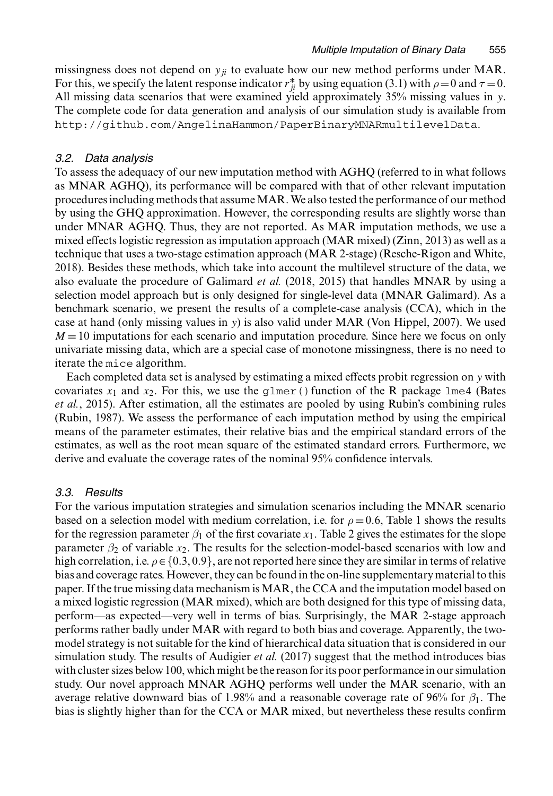missingness does not depend on  $y_{ji}$  to evaluate how our new method performs under MAR. For this, we specify the latent response indicator  $r_{ji}^*$  by using equation (3.1) with  $\rho = 0$  and  $\tau = 0$ . All missing data scenarios that were examined yield approximately 35% missing values in y. The complete code for data generation and analysis of our simulation study is available from http://github.com/AngelinaHammon/PaperBinaryMNARmultilevelData.

#### *3.2. Data analysis*

To assess the adequacy of our new imputation method with AGHQ (referred to in what follows as MNAR AGHQ), its performance will be compared with that of other relevant imputation procedures including methods that assumeMAR.We also tested the performance of our method by using the GHQ approximation. However, the corresponding results are slightly worse than under MNAR AGHQ. Thus, they are not reported. As MAR imputation methods, we use a mixed effects logistic regression as imputation approach (MAR mixed) (Zinn, 2013) as well as a technique that uses a two-stage estimation approach (MAR 2-stage) (Resche-Rigon and White, 2018). Besides these methods, which take into account the multilevel structure of the data, we also evaluate the procedure of Galimard *et al.* (2018, 2015) that handles MNAR by using a selection model approach but is only designed for single-level data (MNAR Galimard). As a benchmark scenario, we present the results of a complete-case analysis (CCA), which in the case at hand (only missing values in y) is also valid under MAR (Von Hippel, 2007). We used  $M = 10$  imputations for each scenario and imputation procedure. Since here we focus on only univariate missing data, which are a special case of monotone missingness, there is no need to iterate the mice algorithm.

Each completed data set is analysed by estimating a mixed effects probit regression on y with covariates  $x_1$  and  $x_2$ . For this, we use the glmer() function of the R package lme4 (Bates *et al.*, 2015). After estimation, all the estimates are pooled by using Rubin's combining rules (Rubin, 1987). We assess the performance of each imputation method by using the empirical means of the parameter estimates, their relative bias and the empirical standard errors of the estimates, as well as the root mean square of the estimated standard errors. Furthermore, we derive and evaluate the coverage rates of the nominal 95% confidence intervals.

#### *3.3. Results*

For the various imputation strategies and simulation scenarios including the MNAR scenario based on a selection model with medium correlation, i.e. for  $\rho = 0.6$ , Table 1 shows the results for the regression parameter  $\beta_1$  of the first covariate  $x_1$ . Table 2 gives the estimates for the slope parameter  $\beta_2$  of variable  $x_2$ . The results for the selection-model-based scenarios with low and high correlation, i.e.  $\rho \in \{0.3, 0.9\}$ , are not reported here since they are similar in terms of relative bias and coverage rates. However, they can be found in the on-line supplementary material to this paper. If the true missing data mechanism is MAR, the CCA and the imputation model based on a mixed logistic regression (MAR mixed), which are both designed for this type of missing data, perform—as expected—very well in terms of bias. Surprisingly, the MAR 2-stage approach performs rather badly under MAR with regard to both bias and coverage. Apparently, the twomodel strategy is not suitable for the kind of hierarchical data situation that is considered in our simulation study. The results of Audigier *et al.* (2017) suggest that the method introduces bias with cluster sizes below 100, which might be the reason for its poor performance in our simulation study. Our novel approach MNAR AGHQ performs well under the MAR scenario, with an average relative downward bias of 1.98% and a reasonable coverage rate of 96% for  $\beta_1$ . The bias is slightly higher than for the CCA or MAR mixed, but nevertheless these results confirm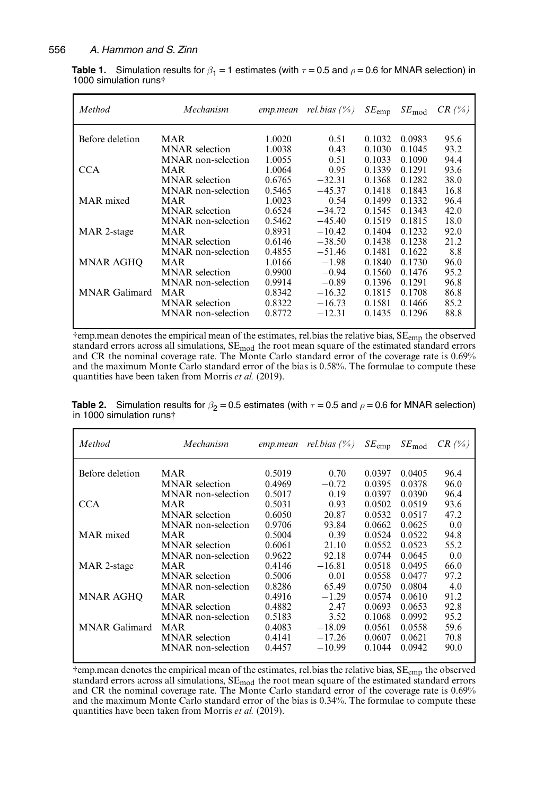| Method               | Mechanism             |        | emp.mean rel.bias $(\% )$ | $SE_{\text{emp}}$ | $SE_{mod}$ | $CR(\%)$ |
|----------------------|-----------------------|--------|---------------------------|-------------------|------------|----------|
| Before deletion      | <b>MAR</b>            | 1.0020 | 0.51                      | 0.1032            | 0.0983     | 95.6     |
|                      | MNAR selection        | 1.0038 | 0.43                      | 0.1030            | 0.1045     | 93.2     |
|                      | MNAR non-selection    | 1.0055 | 0.51                      | 0.1033            | 0.1090     | 94.4     |
| <b>CCA</b>           | <b>MAR</b>            | 1.0064 | 0.95                      | 0.1339            | 0.1291     | 93.6     |
|                      | MNAR selection        | 0.6765 | $-32.31$                  | 0.1368            | 0.1282     | 38.0     |
|                      | MNAR non-selection    | 0.5465 | $-45.37$                  | 0.1418            | 0.1843     | 16.8     |
| MAR mixed            | MAR                   | 1.0023 | 0.54                      | 0.1499            | 0.1332     | 96.4     |
|                      | MNAR selection        | 0.6524 | $-34.72$                  | 0.1545            | 0.1343     | 42.0     |
|                      | MNAR non-selection    | 0.5462 | $-45.40$                  | 0.1519            | 0.1815     | 18.0     |
| MAR 2-stage          | MAR                   | 0.8931 | $-10.42$                  | 0.1404            | 0.1232     | 92.0     |
|                      | <b>MNAR</b> selection | 0.6146 | $-38.50$                  | 0.1438            | 0.1238     | 21.2     |
|                      | MNAR non-selection    | 0.4855 | $-51.46$                  | 0.1481            | 0.1622     | 8.8      |
| MNAR AGHO            | MAR                   | 1.0166 | $-1.98$                   | 0.1840            | 0.1730     | 96.0     |
|                      | MNAR selection        | 0.9900 | $-0.94$                   | 0.1560            | 0.1476     | 95.2     |
|                      | MNAR non-selection    | 0.9914 | $-0.89$                   | 0.1396            | 0.1291     | 96.8     |
| <b>MNAR</b> Galimard | <b>MAR</b>            | 0.8342 | $-16.32$                  | 0.1815            | 0.1708     | 86.8     |
|                      | MNAR selection        | 0.8322 | $-16.73$                  | 0.1581            | 0.1466     | 85.2     |
|                      | MNAR non-selection    | 0.8772 | $-12.31$                  | 0.1435            | 0.1296     | 88.8     |

**Table 1.** Simulation results for  $\beta_1 = 1$  estimates (with  $\tau = 0.5$  and  $\rho = 0.6$  for MNAR selection) in 1000 simulation runs†

†emp.mean denotes the empirical mean of the estimates, rel.bias the relative bias, SEemp the observed standard errors across all simulations,  $SE_{mod}$  the root mean square of the estimated standard errors and CR the nominal coverage rate. The Monte Carlo standard error of the coverage rate is 0.69% and the maximum Monte Carlo standard error of the bias is 0.58%. The formulae to compute these quantities have been taken from Morris et al. (2019).

**Table 2.** Simulation results for  $\beta_2 = 0.5$  estimates (with  $\tau = 0.5$  and  $\rho = 0.6$  for MNAR selection) in 1000 simulation runs†

| Method               | Mechanism             | emp.mean | rel.bias $(\% )$ | $SE_{\rm{emp}}$ | $SE_{mod}$ | $CR(\%)$ |
|----------------------|-----------------------|----------|------------------|-----------------|------------|----------|
| Before deletion      | <b>MAR</b>            | 0.5019   | 0.70             | 0.0397          | 0.0405     | 96.4     |
|                      | <b>MNAR</b> selection | 0.4969   | $-0.72$          | 0.0395          | 0.0378     | 96.0     |
|                      | MNAR non-selection    | 0.5017   | 0.19             | 0.0397          | 0.0390     | 96.4     |
| CCA                  | <b>MAR</b>            | 0.5031   | 0.93             | 0.0502          | 0.0519     | 93.6     |
|                      | <b>MNAR</b> selection | 0.6050   | 20.87            | 0.0532          | 0.0517     | 47.2     |
|                      | MNAR non-selection    | 0.9706   | 93.84            | 0.0662          | 0.0625     | 0.0      |
| MAR mixed            | <b>MAR</b>            | 0.5004   | 0.39             | 0.0524          | 0.0522     | 94.8     |
|                      | MNAR selection        | 0.6061   | 21.10            | 0.0552          | 0.0523     | 55.2     |
|                      | MNAR non-selection    | 0.9622   | 92.18            | 0.0744          | 0.0645     | 0.0      |
| MAR 2-stage          | <b>MAR</b>            | 0.4146   | $-16.81$         | 0.0518          | 0.0495     | 66.0     |
|                      | <b>MNAR</b> selection | 0.5006   | 0.01             | 0.0558          | 0.0477     | 97.2     |
|                      | MNAR non-selection    | 0.8286   | 65.49            | 0.0750          | 0.0804     | 4.0      |
| <b>MNAR AGHO</b>     | MAR                   | 0.4916   | $-1.29$          | 0.0574          | 0.0610     | 91.2     |
|                      | <b>MNAR</b> selection | 0.4882   | 2.47             | 0.0693          | 0.0653     | 92.8     |
|                      | MNAR non-selection    | 0.5183   | 3.52             | 0.1068          | 0.0992     | 95.2     |
| <b>MNAR</b> Galimard | <b>MAR</b>            | 0.4083   | $-18.09$         | 0.0561          | 0.0558     | 59.6     |
|                      | <b>MNAR</b> selection | 0.4141   | $-17.26$         | 0.0607          | 0.0621     | 70.8     |
|                      | MNAR non-selection    | 0.4457   | $-10.99$         | 0.1044          | 0.0942     | 90.0     |
|                      |                       |          |                  |                 |            |          |

†emp.mean denotes the empirical mean of the estimates, rel.bias the relative bias, SEemp the observed standard errors across all simulations,  $SE_{mod}$  the root mean square of the estimated standard errors and CR the nominal coverage rate. The Monte Carlo standard error of the coverage rate is 0.69% and the maximum Monte Carlo standard error of the bias is 0.34%. The formulae to compute these quantities have been taken from Morris *et al.* (2019).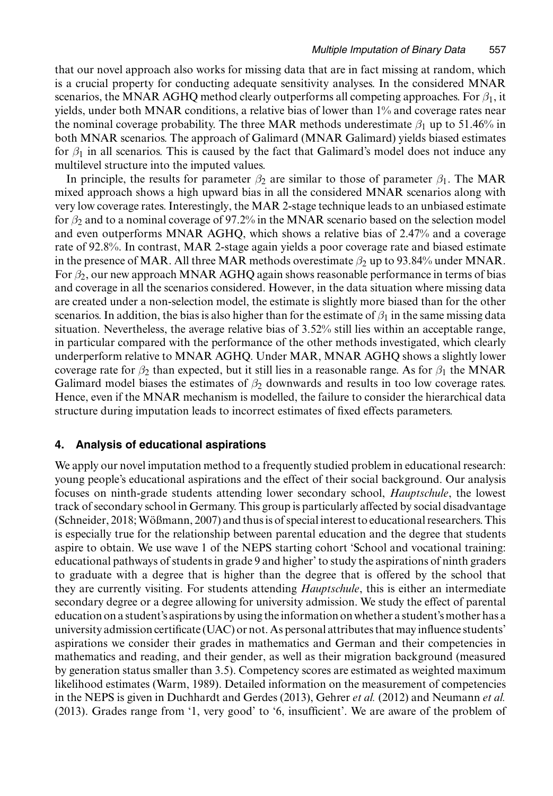that our novel approach also works for missing data that are in fact missing at random, which is a crucial property for conducting adequate sensitivity analyses. In the considered MNAR scenarios, the MNAR AGHQ method clearly outperforms all competing approaches. For  $\beta_1$ , it yields, under both MNAR conditions, a relative bias of lower than 1% and coverage rates near the nominal coverage probability. The three MAR methods underestimate  $\beta_1$  up to 51.46% in both MNAR scenarios. The approach of Galimard (MNAR Galimard) yields biased estimates for  $\beta_1$  in all scenarios. This is caused by the fact that Galimard's model does not induce any multilevel structure into the imputed values.

In principle, the results for parameter  $\beta_2$  are similar to those of parameter  $\beta_1$ . The MAR mixed approach shows a high upward bias in all the considered MNAR scenarios along with very low coverage rates. Interestingly, the MAR 2-stage technique leads to an unbiased estimate for  $\beta_2$  and to a nominal coverage of 97.2% in the MNAR scenario based on the selection model and even outperforms MNAR AGHQ, which shows a relative bias of 2.47% and a coverage rate of 92.8%. In contrast, MAR 2-stage again yields a poor coverage rate and biased estimate in the presence of MAR. All three MAR methods overestimate  $\beta_2$  up to 93.84% under MNAR. For  $\beta_2$ , our new approach MNAR AGHQ again shows reasonable performance in terms of bias and coverage in all the scenarios considered. However, in the data situation where missing data are created under a non-selection model, the estimate is slightly more biased than for the other scenarios. In addition, the bias is also higher than for the estimate of  $\beta_1$  in the same missing data situation. Nevertheless, the average relative bias of 3.52% still lies within an acceptable range, in particular compared with the performance of the other methods investigated, which clearly underperform relative to MNAR AGHQ. Under MAR, MNAR AGHQ shows a slightly lower coverage rate for  $\beta_2$  than expected, but it still lies in a reasonable range. As for  $\beta_1$  the MNAR Galimard model biases the estimates of  $\beta_2$  downwards and results in too low coverage rates. Hence, even if the MNAR mechanism is modelled, the failure to consider the hierarchical data structure during imputation leads to incorrect estimates of fixed effects parameters.

## **4. Analysis of educational aspirations**

We apply our novel imputation method to a frequently studied problem in educational research: young people's educational aspirations and the effect of their social background. Our analysis focuses on ninth-grade students attending lower secondary school, *Hauptschule*, the lowest track of secondary school in Germany. This group is particularly affected by social disadvantage (Schneider, 2018;Woßmann, 2007) and thus is of special interest to educational researchers. This ¨ is especially true for the relationship between parental education and the degree that students aspire to obtain. We use wave 1 of the NEPS starting cohort 'School and vocational training: educational pathways of students in grade 9 and higher' to study the aspirations of ninth graders to graduate with a degree that is higher than the degree that is offered by the school that they are currently visiting. For students attending *Hauptschule*, this is either an intermediate secondary degree or a degree allowing for university admission. We study the effect of parental education on a student's aspirations by using the information on whether a student's mother has a university admission certificate (UAC) or not. As personal attributes that may influence students' aspirations we consider their grades in mathematics and German and their competencies in mathematics and reading, and their gender, as well as their migration background (measured by generation status smaller than 3.5). Competency scores are estimated as weighted maximum likelihood estimates (Warm, 1989). Detailed information on the measurement of competencies in the NEPS is given in Duchhardt and Gerdes (2013), Gehrer *et al.* (2012) and Neumann *et al.* (2013). Grades range from '1, very good' to '6, insufficient'. We are aware of the problem of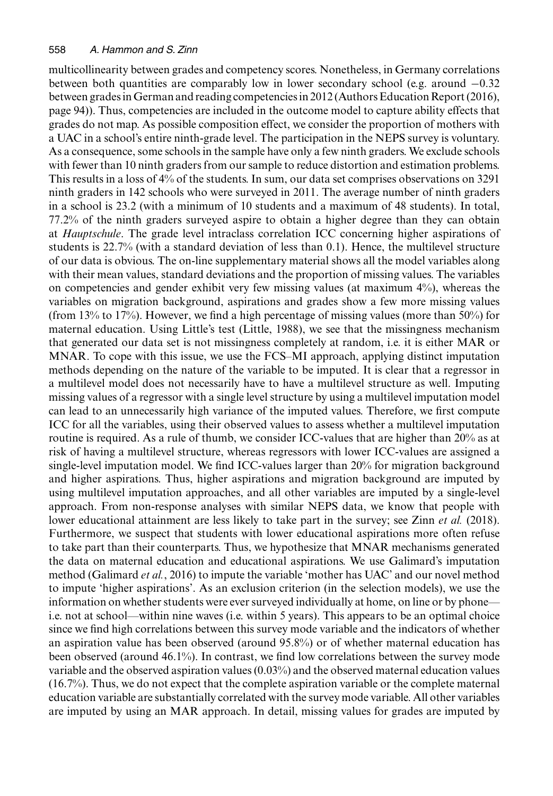multicollinearity between grades and competency scores. Nonetheless, in Germany correlations between both quantities are comparably low in lower secondary school (e.g. around −0:32 between grades in German and reading competencies in 2012 (Authors Education Report (2016), page 94)). Thus, competencies are included in the outcome model to capture ability effects that grades do not map. As possible composition effect, we consider the proportion of mothers with a UAC in a school's entire ninth-grade level. The participation in the NEPS survey is voluntary. As a consequence, some schools in the sample have only a few ninth graders. We exclude schools with fewer than 10 ninth graders from our sample to reduce distortion and estimation problems. This results in a loss of 4% of the students. In sum, our data set comprises observations on 3291 ninth graders in 142 schools who were surveyed in 2011. The average number of ninth graders in a school is 23.2 (with a minimum of 10 students and a maximum of 48 students). In total, 77.2% of the ninth graders surveyed aspire to obtain a higher degree than they can obtain at *Hauptschule*. The grade level intraclass correlation ICC concerning higher aspirations of students is 22.7% (with a standard deviation of less than 0.1). Hence, the multilevel structure of our data is obvious. The on-line supplementary material shows all the model variables along with their mean values, standard deviations and the proportion of missing values. The variables on competencies and gender exhibit very few missing values (at maximum 4%), whereas the variables on migration background, aspirations and grades show a few more missing values (from 13% to 17%). However, we find a high percentage of missing values (more than 50%) for maternal education. Using Little's test (Little, 1988), we see that the missingness mechanism that generated our data set is not missingness completely at random, i.e. it is either MAR or MNAR. To cope with this issue, we use the FCS–MI approach, applying distinct imputation methods depending on the nature of the variable to be imputed. It is clear that a regressor in a multilevel model does not necessarily have to have a multilevel structure as well. Imputing missing values of a regressor with a single level structure by using a multilevel imputation model can lead to an unnecessarily high variance of the imputed values. Therefore, we first compute ICC for all the variables, using their observed values to assess whether a multilevel imputation routine is required. As a rule of thumb, we consider ICC-values that are higher than 20% as at risk of having a multilevel structure, whereas regressors with lower ICC-values are assigned a single-level imputation model. We find ICC-values larger than 20% for migration background and higher aspirations. Thus, higher aspirations and migration background are imputed by using multilevel imputation approaches, and all other variables are imputed by a single-level approach. From non-response analyses with similar NEPS data, we know that people with lower educational attainment are less likely to take part in the survey; see Zinn *et al.* (2018). Furthermore, we suspect that students with lower educational aspirations more often refuse to take part than their counterparts. Thus, we hypothesize that MNAR mechanisms generated the data on maternal education and educational aspirations. We use Galimard's imputation method (Galimard *et al.*, 2016) to impute the variable 'mother has UAC' and our novel method to impute 'higher aspirations'. As an exclusion criterion (in the selection models), we use the information on whether students were ever surveyed individually at home, on line or by phone i.e. not at school—within nine waves (i.e. within 5 years). This appears to be an optimal choice since we find high correlations between this survey mode variable and the indicators of whether an aspiration value has been observed (around 95.8%) or of whether maternal education has been observed (around 46.1%). In contrast, we find low correlations between the survey mode variable and the observed aspiration values (0.03%) and the observed maternal education values (16.7%). Thus, we do not expect that the complete aspiration variable or the complete maternal education variable are substantially correlated with the survey mode variable. All other variables are imputed by using an MAR approach. In detail, missing values for grades are imputed by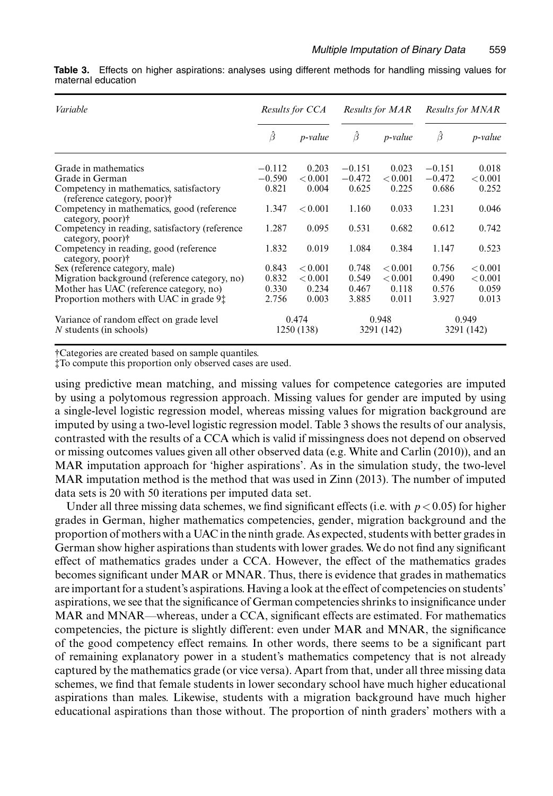| Variable                                                                       | Results for CCA |                 | Results for MAR |                 | <b>Results for MNAR</b> |                 |
|--------------------------------------------------------------------------------|-----------------|-----------------|-----------------|-----------------|-------------------------|-----------------|
|                                                                                | Ĝ               | <i>p</i> -value | B               | <i>p</i> -value | $\beta$                 | <i>p</i> -value |
| Grade in mathematics                                                           | $-0.112$        | 0.203           | $-0.151$        | 0.023           | $-0.151$                | 0.018           |
| Grade in German                                                                | $-0.590$        | < 0.001         | $-0.472$        | < 0.001         | $-0.472$                | < 0.001         |
| Competency in mathematics, satisfactory<br>(reference category, poor)†         | 0.821           | 0.004           | 0.625           | 0.225           | 0.686                   | 0.252           |
| Competency in mathematics, good (reference)<br>category, poor) <sup>†</sup>    | 1.347           | < 0.001         | 1.160           | 0.033           | 1.231                   | 0.046           |
| Competency in reading, satisfactory (reference<br>category, $poor$ ) $\dagger$ | 1.287           | 0.095           | 0.531           | 0.682           | 0.612                   | 0.742           |
| Competency in reading, good (reference)<br>category, poor) <sup>†</sup>        | 1.832           | 0.019           | 1.084           | 0.384           | 1.147                   | 0.523           |
| Sex (reference category, male)                                                 | 0.843           | < 0.001         | 0.748           | < 0.001         | 0.756                   | < 0.001         |
| Migration background (reference category, no)                                  | 0.832           | < 0.001         | 0.549           | < 0.001         | 0.490                   | < 0.001         |
| Mother has UAC (reference category, no)                                        | 0.330           | 0.234           | 0.467           | 0.118           | 0.576                   | 0.059           |
| Proportion mothers with UAC in grade 9:                                        | 2.756           | 0.003           | 3.885           | 0.011           | 3.927                   | 0.013           |
| Variance of random effect on grade level                                       | 0.474           |                 | 0.948           |                 | 0.949                   |                 |
| N students (in schools)                                                        | 1250 (138)      |                 | 3291 (142)      |                 | 3291 (142)              |                 |

**Table 3.** Effects on higher aspirations: analyses using different methods for handling missing values for maternal education

†Categories are created based on sample quantiles.

‡To compute this proportion only observed cases are used.

using predictive mean matching, and missing values for competence categories are imputed by using a polytomous regression approach. Missing values for gender are imputed by using a single-level logistic regression model, whereas missing values for migration background are imputed by using a two-level logistic regression model. Table 3 shows the results of our analysis, contrasted with the results of a CCA which is valid if missingness does not depend on observed or missing outcomes values given all other observed data (e.g. White and Carlin (2010)), and an MAR imputation approach for 'higher aspirations'. As in the simulation study, the two-level MAR imputation method is the method that was used in Zinn (2013). The number of imputed data sets is 20 with 50 iterations per imputed data set.

Under all three missing data schemes, we find significant effects (i.e. with  $p < 0.05$ ) for higher grades in German, higher mathematics competencies, gender, migration background and the proportion of mothers with a UAC in the ninth grade. As expected, students with better grades in German show higher aspirations than students with lower grades. We do not find any significant effect of mathematics grades under a CCA. However, the effect of the mathematics grades becomes significant under MAR or MNAR. Thus, there is evidence that grades in mathematics are important for a student's aspirations. Having a look at the effect of competencies on students' aspirations, we see that the significance of German competencies shrinks to insignificance under MAR and MNAR—whereas, under a CCA, significant effects are estimated. For mathematics competencies, the picture is slightly different: even under MAR and MNAR, the significance of the good competency effect remains. In other words, there seems to be a significant part of remaining explanatory power in a student's mathematics competency that is not already captured by the mathematics grade (or vice versa). Apart from that, under all three missing data schemes, we find that female students in lower secondary school have much higher educational aspirations than males. Likewise, students with a migration background have much higher educational aspirations than those without. The proportion of ninth graders' mothers with a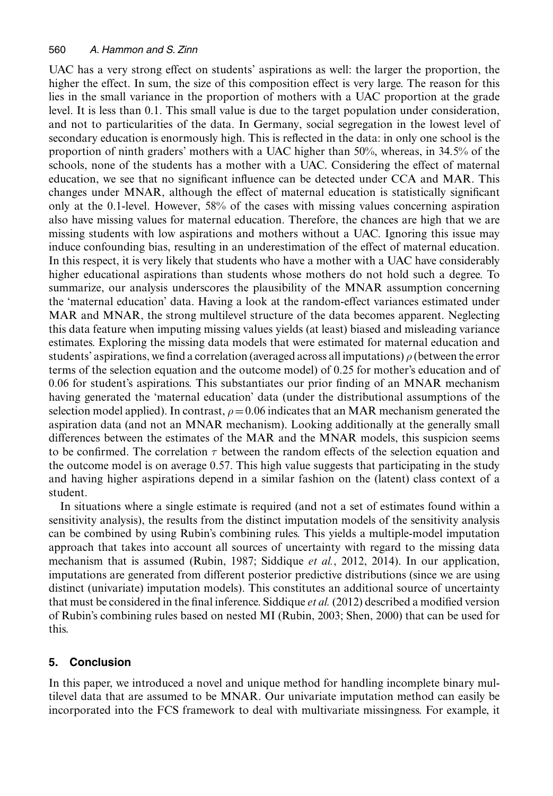UAC has a very strong effect on students' aspirations as well: the larger the proportion, the higher the effect. In sum, the size of this composition effect is very large. The reason for this lies in the small variance in the proportion of mothers with a UAC proportion at the grade level. It is less than 0.1. This small value is due to the target population under consideration, and not to particularities of the data. In Germany, social segregation in the lowest level of secondary education is enormously high. This is reflected in the data: in only one school is the proportion of ninth graders' mothers with a UAC higher than 50%, whereas, in 34.5% of the schools, none of the students has a mother with a UAC. Considering the effect of maternal education, we see that no significant influence can be detected under CCA and MAR. This changes under MNAR, although the effect of maternal education is statistically significant only at the 0.1-level. However, 58% of the cases with missing values concerning aspiration also have missing values for maternal education. Therefore, the chances are high that we are missing students with low aspirations and mothers without a UAC. Ignoring this issue may induce confounding bias, resulting in an underestimation of the effect of maternal education. In this respect, it is very likely that students who have a mother with a UAC have considerably higher educational aspirations than students whose mothers do not hold such a degree. To summarize, our analysis underscores the plausibility of the MNAR assumption concerning the 'maternal education' data. Having a look at the random-effect variances estimated under MAR and MNAR, the strong multilevel structure of the data becomes apparent. Neglecting this data feature when imputing missing values yields (at least) biased and misleading variance estimates. Exploring the missing data models that were estimated for maternal education and students' aspirations, we find a correlation (averaged across all imputations)  $\rho$  (between the error terms of the selection equation and the outcome model) of 0.25 for mother's education and of 0.06 for student's aspirations. This substantiates our prior finding of an MNAR mechanism having generated the 'maternal education' data (under the distributional assumptions of the selection model applied). In contrast,  $\rho = 0.06$  indicates that an MAR mechanism generated the aspiration data (and not an MNAR mechanism). Looking additionally at the generally small differences between the estimates of the MAR and the MNAR models, this suspicion seems to be confirmed. The correlation  $\tau$  between the random effects of the selection equation and the outcome model is on average 0.57. This high value suggests that participating in the study and having higher aspirations depend in a similar fashion on the (latent) class context of a student.

In situations where a single estimate is required (and not a set of estimates found within a sensitivity analysis), the results from the distinct imputation models of the sensitivity analysis can be combined by using Rubin's combining rules. This yields a multiple-model imputation approach that takes into account all sources of uncertainty with regard to the missing data mechanism that is assumed (Rubin, 1987; Siddique *et al.*, 2012, 2014). In our application, imputations are generated from different posterior predictive distributions (since we are using distinct (univariate) imputation models). This constitutes an additional source of uncertainty that must be considered in the final inference. Siddique *et al.* (2012) described a modified version of Rubin's combining rules based on nested MI (Rubin, 2003; Shen, 2000) that can be used for this.

# **5. Conclusion**

In this paper, we introduced a novel and unique method for handling incomplete binary multilevel data that are assumed to be MNAR. Our univariate imputation method can easily be incorporated into the FCS framework to deal with multivariate missingness. For example, it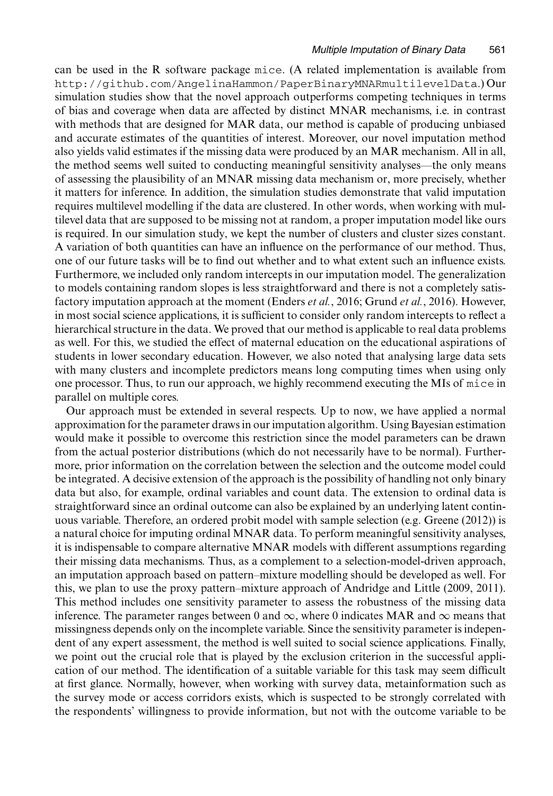can be used in the R software package mice. (A related implementation is available from http://github.com/AngelinaHammon/PaperBinaryMNARmultilevelData.) Our simulation studies show that the novel approach outperforms competing techniques in terms of bias and coverage when data are affected by distinct MNAR mechanisms, i.e. in contrast with methods that are designed for MAR data, our method is capable of producing unbiased and accurate estimates of the quantities of interest. Moreover, our novel imputation method also yields valid estimates if the missing data were produced by an MAR mechanism. All in all, the method seems well suited to conducting meaningful sensitivity analyses—the only means of assessing the plausibility of an MNAR missing data mechanism or, more precisely, whether it matters for inference. In addition, the simulation studies demonstrate that valid imputation requires multilevel modelling if the data are clustered. In other words, when working with multilevel data that are supposed to be missing not at random, a proper imputation model like ours is required. In our simulation study, we kept the number of clusters and cluster sizes constant. A variation of both quantities can have an influence on the performance of our method. Thus, one of our future tasks will be to find out whether and to what extent such an influence exists. Furthermore, we included only random intercepts in our imputation model. The generalization to models containing random slopes is less straightforward and there is not a completely satisfactory imputation approach at the moment (Enders *et al.*, 2016; Grund *et al.*, 2016). However, in most social science applications, it is sufficient to consider only random intercepts to reflect a hierarchical structure in the data. We proved that our method is applicable to real data problems as well. For this, we studied the effect of maternal education on the educational aspirations of students in lower secondary education. However, we also noted that analysing large data sets with many clusters and incomplete predictors means long computing times when using only one processor. Thus, to run our approach, we highly recommend executing the MIs of mice in parallel on multiple cores.

Our approach must be extended in several respects. Up to now, we have applied a normal approximation for the parameter draws in our imputation algorithm. Using Bayesian estimation would make it possible to overcome this restriction since the model parameters can be drawn from the actual posterior distributions (which do not necessarily have to be normal). Furthermore, prior information on the correlation between the selection and the outcome model could be integrated. A decisive extension of the approach is the possibility of handling not only binary data but also, for example, ordinal variables and count data. The extension to ordinal data is straightforward since an ordinal outcome can also be explained by an underlying latent continuous variable. Therefore, an ordered probit model with sample selection (e.g. Greene (2012)) is a natural choice for imputing ordinal MNAR data. To perform meaningful sensitivity analyses, it is indispensable to compare alternative MNAR models with different assumptions regarding their missing data mechanisms. Thus, as a complement to a selection-model-driven approach, an imputation approach based on pattern–mixture modelling should be developed as well. For this, we plan to use the proxy pattern–mixture approach of Andridge and Little (2009, 2011). This method includes one sensitivity parameter to assess the robustness of the missing data inference. The parameter ranges between 0 and  $\infty$ , where 0 indicates MAR and  $\infty$  means that missingness depends only on the incomplete variable. Since the sensitivity parameter is independent of any expert assessment, the method is well suited to social science applications. Finally, we point out the crucial role that is played by the exclusion criterion in the successful application of our method. The identification of a suitable variable for this task may seem difficult at first glance. Normally, however, when working with survey data, metainformation such as the survey mode or access corridors exists, which is suspected to be strongly correlated with the respondents' willingness to provide information, but not with the outcome variable to be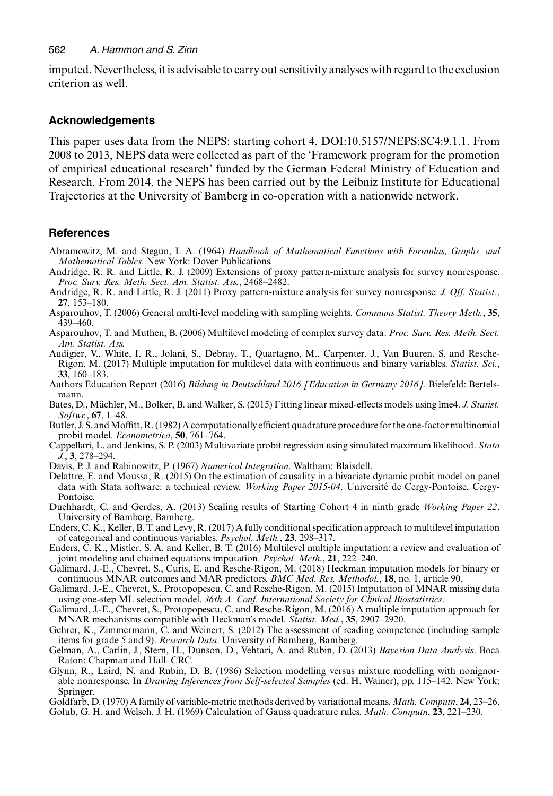imputed. Nevertheless, it is advisable to carry out sensitivity analyses with regard to the exclusion criterion as well.

#### **Acknowledgements**

This paper uses data from the NEPS: starting cohort 4, DOI:10.5157/NEPS:SC4:9.1.1. From 2008 to 2013, NEPS data were collected as part of the 'Framework program for the promotion of empirical educational research' funded by the German Federal Ministry of Education and Research. From 2014, the NEPS has been carried out by the Leibniz Institute for Educational Trajectories at the University of Bamberg in co-operation with a nationwide network.

#### **References**

- Abramowitz, M. and Stegun, I. A. (1964) *Handbook of Mathematical Functions with Formulas, Graphs, and Mathematical Tables*. New York: Dover Publications.
- Andridge, R. R. and Little, R. J. (2009) Extensions of proxy pattern-mixture analysis for survey nonresponse. *Proc. Surv. Res. Meth. Sect. Am. Statist. Ass.*, 2468–2482.
- Andridge, R. R. and Little, R. J. (2011) Proxy pattern-mixture analysis for survey nonresponse. *J. Off. Statist.*, **27**, 153–180.
- Asparouhov, T. (2006) General multi-level modeling with sampling weights. *Communs Statist. Theory Meth.*, **35**, 439–460.
- Asparouhov, T. and Muthen, B. (2006) Multilevel modeling of complex survey data. *Proc. Surv. Res. Meth. Sect. Am. Statist. Ass.*
- Audigier, V., White, I. R., Jolani, S., Debray, T., Quartagno, M., Carpenter, J., Van Buuren, S. and Resche-Rigon, M. (2017) Multiple imputation for multilevel data with continuous and binary variables. *Statist. Sci.*, **33**, 160–183.
- Authors Education Report (2016) *Bildung in Deutschland 2016 [Education in Germany 2016]*. Bielefeld: Bertelsmann.
- Bates, D., Mächler, M., Bolker, B. and Walker, S. (2015) Fitting linear mixed-effects models using lme4. *J. Statist. Softwr.*, **67**, 1–48.
- Butler, J. S. and Moffitt, R. (1982) A computationally efficient quadrature procedure for the one-factor multinomial probit model. *Econometrica*, **50**, 761–764.
- Cappellari, L. and Jenkins, S. P. (2003) Multivariate probit regression using simulated maximum likelihood. *Stata J.*, **3**, 278–294.
- Davis, P. J. and Rabinowitz, P. (1967) *Numerical Integration*. Waltham: Blaisdell.
- Delattre, E. and Moussa, R. (2015) On the estimation of causality in a bivariate dynamic probit model on panel data with Stata software: a technical review. *Working Paper 2015-04*. Université de Cergy-Pontoise, Cergy-Pontoise.
- Duchhardt, C. and Gerdes, A. (2013) Scaling results of Starting Cohort 4 in ninth grade *Working Paper 22*. University of Bamberg, Bamberg.
- Enders, C. K., Keller, B. T. and Levy, R. (2017) A fully conditional specification approach to multilevel imputation of categorical and continuous variables. *Psychol. Meth.*, **23**, 298–317.
- Enders, C. K., Mistler, S. A. and Keller, B. T. (2016) Multilevel multiple imputation: a review and evaluation of joint modeling and chained equations imputation. *Psychol. Meth.*, **21**, 222–240.
- Galimard, J.-E., Chevret, S., Curis, E. and Resche-Rigon, M. (2018) Heckman imputation models for binary or continuous MNAR outcomes and MAR predictors. *BMC Med. Res. Methodol.*, **18**, no. 1, article 90.
- Galimard, J.-E., Chevret, S., Protopopescu, C. and Resche-Rigon, M. (2015) Imputation of MNAR missing data using one-step ML selection model. *36th A. Conf. International Society for Clinical Biostatistics*.
- Galimard, J.-E., Chevret, S., Protopopescu, C. and Resche-Rigon, M. (2016) A multiple imputation approach for MNAR mechanisms compatible with Heckman's model. *Statist. Med.*, **35**, 2907–2920.
- Gehrer, K., Zimmermann, C. and Weinert, S. (2012) The assessment of reading competence (including sample items for grade 5 and 9). *Research Data*. University of Bamberg, Bamberg.
- Gelman, A., Carlin, J., Stern, H., Dunson, D., Vehtari, A. and Rubin, D. (2013) *Bayesian Data Analysis*. Boca Raton: Chapman and Hall–CRC.
- Glynn, R., Laird, N. and Rubin, D. B. (1986) Selection modelling versus mixture modelling with nonignorable nonresponse. In *Drawing Inferences from Self-selected Samples* (ed. H. Wainer), pp. 115–142. New York: Springer.
- Goldfarb, D. (1970) A family of variable-metric methods derived by variational means. *Math. Computn*, **24**, 23–26.
- Golub, G. H. and Welsch, J. H. (1969) Calculation of Gauss quadrature rules. *Math. Computn*, **23**, 221–230.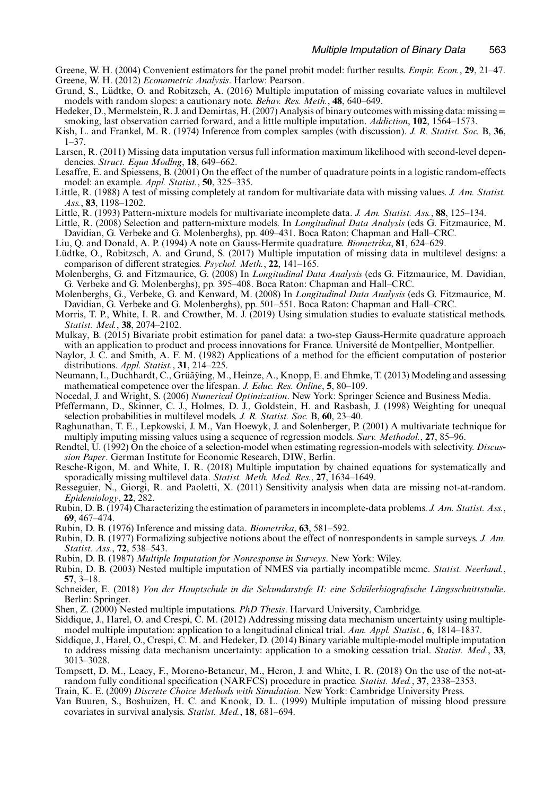Greene, W. H. (2004) Convenient estimators for the panel probit model: further results. *Empir. Econ.*, **29**, 21–47. Greene, W. H. (2012) *Econometric Analysis*. Harlow: Pearson.

- Grund, S., Lüdtke, O. and Robitzsch, A. (2016) Multiple imputation of missing covariate values in multilevel models with random slopes: a cautionary note. *Behav. Res. Meth.*, **48**, 640–649.
- Hedeker, D., Mermelstein, R. J. and Demirtas, H. (2007) Analysis of binary outcomes with missing data: missing  $=$ smoking, last observation carried forward, and a little multiple imputation. *Addiction*, **102**, 1564–1573.
- Kish, L. and Frankel, M. R. (1974) Inference from complex samples (with discussion). *J. R. Statist. Soc.* B, **36**, 1–37.
- Larsen, R. (2011) Missing data imputation versus full information maximum likelihood with second-level dependencies. *Struct. Equn Modlng*, **18**, 649–662.
- Lesaffre, E. and Spiessens, B. (2001) On the effect of the number of quadrature points in a logistic random-effects model: an example. *Appl. Statist.*, **50**, 325–335.
- Little, R. (1988) A test of missing completely at random for multivariate data with missing values. *J. Am. Statist. Ass.*, **83**, 1198–1202.
- Little, R. (1993) Pattern-mixture models for multivariate incomplete data. *J. Am. Statist. Ass.*, **88**, 125–134.
- Little, R. (2008) Selection and pattern-mixture models. In *Longitudinal Data Analysis* (eds G. Fitzmaurice, M. Davidian, G. Verbeke and G. Molenberghs), pp. 409–431. Boca Raton: Chapman and Hall–CRC.
- Liu, Q. and Donald, A. P. (1994) A note on Gauss-Hermite quadrature. *Biometrika*, **81**, 624–629.
- Lüdtke, O., Robitzsch, A. and Grund, S. (2017) Multiple imputation of missing data in multilevel designs: a comparison of different strategies. *Psychol. Meth.*, **22**, 141–165.
- Molenberghs, G. and Fitzmaurice, G. (2008) In *Longitudinal Data Analysis* (eds G. Fitzmaurice, M. Davidian, G. Verbeke and G. Molenberghs), pp. 395–408. Boca Raton: Chapman and Hall–CRC.
- Molenberghs, G., Verbeke, G. and Kenward, M. (2008) In *Longitudinal Data Analysis* (eds G. Fitzmaurice, M. Davidian, G. Verbeke and G. Molenberghs), pp. 501–551. Boca Raton: Chapman and Hall–CRC.
- Morris, T. P., White, I. R. and Crowther, M. J. (2019) Using simulation studies to evaluate statistical methods. *Statist. Med.*, **38**, 2074–2102.
- Mulkay, B. (2015) Bivariate probit estimation for panel data: a two-step Gauss-Hermite quadrature approach with an application to product and process innovations for France. Université de Montpellier, Montpellier.
- Naylor, J. C. and Smith, A. F. M. (1982) Applications of a method for the efficient computation of posterior distributions. *Appl. Statist.*, **31**, 214–225.
- Neumann, I., Duchhardt, C., Grüãÿing, M., Heinze, A., Knopp, E. and Ehmke, T. (2013) Modeling and assessing mathematical competence over the lifespan. *J. Educ. Res. Online*, **5**, 80–109.
- Nocedal, J. and Wright, S. (2006) *Numerical Optimization*. New York: Springer Science and Business Media.
- Pfeffermann, D., Skinner, C. J., Holmes, D. J., Goldstein, H. and Rasbash, J. (1998) Weighting for unequal selection probabilities in multilevel models. *J. R. Statist. Soc.* B, **60**, 23–40.
- Raghunathan, T. E., Lepkowski, J. M., Van Hoewyk, J. and Solenberger, P. (2001) A multivariate technique for multiply imputing missing values using a sequence of regression models. *Surv. Methodol.*, **27**, 85–96.
- Rendtel, U. (1992) On the choice of a selection-model when estimating regression-models with selectivity. *Discussion Paper*. German Institute for Economic Research, DIW, Berlin.
- Resche-Rigon, M. and White, I. R. (2018) Multiple imputation by chained equations for systematically and sporadically missing multilevel data. *Statist. Meth. Med. Res.*, **27**, 1634–1649.
- Resseguier, N., Giorgi, R. and Paoletti, X. (2011) Sensitivity analysis when data are missing not-at-random. *Epidemiology*, **22**, 282.
- Rubin, D. B. (1974) Characterizing the estimation of parameters in incomplete-data problems. *J. Am. Statist. Ass.*, **69**, 467–474.
- Rubin, D. B. (1976) Inference and missing data. *Biometrika*, **63**, 581–592.
- Rubin, D. B. (1977) Formalizing subjective notions about the effect of nonrespondents in sample surveys. *J. Am. Statist. Ass.*, **72**, 538–543.
- Rubin, D. B. (1987) *Multiple Imputation for Nonresponse in Surveys*. New York: Wiley.
- Rubin, D. B. (2003) Nested multiple imputation of NMES via partially incompatible mcmc. *Statist. Neerland.*, **57**, 3–18.
- Schneider, E. (2018) Von der Hauptschule in die Sekundarstufe II: eine Schülerbiografische Längsschnittstudie. Berlin: Springer.
- Shen, Z. (2000) Nested multiple imputations. *PhD Thesis*. Harvard University, Cambridge.
- Siddique, J., Harel, O. and Crespi, C. M. (2012) Addressing missing data mechanism uncertainty using multiplemodel multiple imputation: application to a longitudinal clinical trial. *Ann. Appl. Statist.*, **6**, 1814–1837.
- Siddique, J., Harel, O., Crespi, C. M. and Hedeker, D. (2014) Binary variable multiple-model multiple imputation to address missing data mechanism uncertainty: application to a smoking cessation trial. *Statist. Med.*, **33**, 3013–3028.
- Tompsett, D. M., Leacy, F., Moreno-Betancur, M., Heron, J. and White, I. R. (2018) On the use of the not-atrandom fully conditional specification (NARFCS) procedure in practice. *Statist. Med.*, **37**, 2338–2353.
- Train, K. E. (2009) *Discrete Choice Methods with Simulation*. New York: Cambridge University Press.
- Van Buuren, S., Boshuizen, H. C. and Knook, D. L. (1999) Multiple imputation of missing blood pressure covariates in survival analysis. *Statist. Med.*, **18**, 681–694.